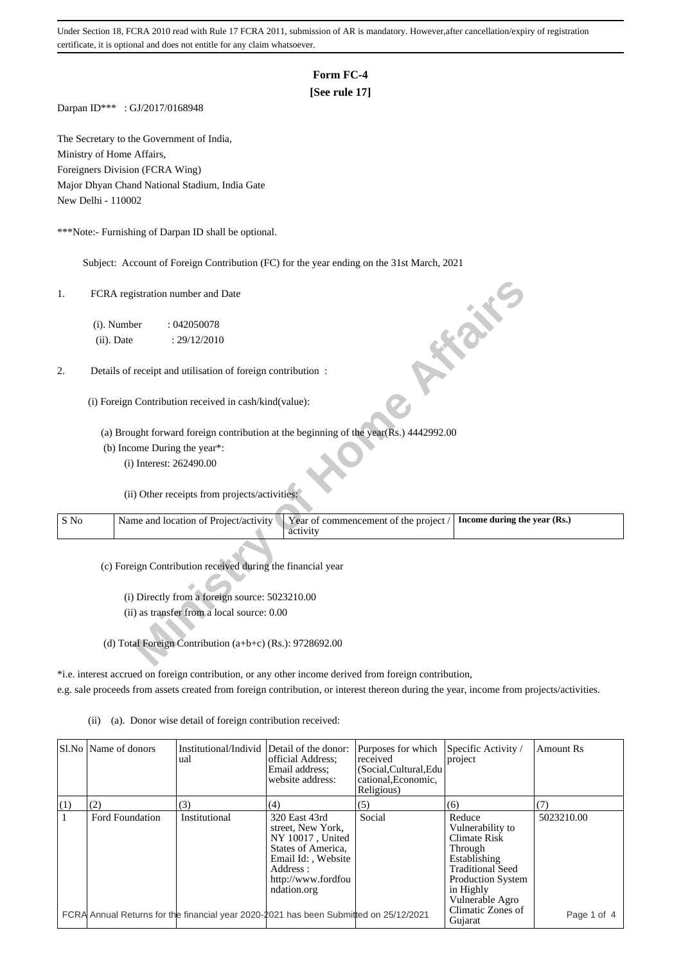# **Form FC-4**

# **[See rule 17]**

Darpan ID\*\*\* : GJ/2017/0168948

The Secretary to the Government of India, Ministry of Home Affairs, Foreigners Division (FCRA Wing) Major Dhyan Chand National Stadium, India Gate New Delhi - 110002

\*\*\*Note:- Furnishing of Darpan ID shall be optional.

Subject: Account of Foreign Contribution (FC) for the year ending on the 31st March, 2021

## 2. Details of receipt and utilisation of foreign contribution :

| 1.   | FCRA registration number and Date                                                                                          |
|------|----------------------------------------------------------------------------------------------------------------------------|
|      | (i). Number<br>:042050078                                                                                                  |
|      | <b>10 % %</b><br>(ii). Date<br>: 29/12/2010                                                                                |
| 2.   | Details of receipt and utilisation of foreign contribution :                                                               |
|      | (i) Foreign Contribution received in cash/kind(value):                                                                     |
|      | (a) Brought forward foreign contribution at the beginning of the year(Rs.) 4442992.00                                      |
|      | (b) Income During the year*:                                                                                               |
|      | (i) Interest: 262490.00                                                                                                    |
|      | (ii) Other receipts from projects/activities:                                                                              |
| S No | Name and location of Project/activity<br>Year of commencement of the project /<br>Income during the year (Rs.)<br>activity |
|      | (c) Foreign Contribution received during the financial year                                                                |
|      | (i) Directly from a foreign source: 5023210.00                                                                             |
|      | (ii) as transfer from a local source: 0.00                                                                                 |
|      |                                                                                                                            |
|      | (d) Total Foreign Contribution (a+b+c) (Rs.): 9728692.00                                                                   |

\*i.e. interest accrued on foreign contribution, or any other income derived from foreign contribution,

e.g. sale proceeds from assets created from foreign contribution, or interest thereon during the year, income from projects/activities.

(ii) (a). Donor wise detail of foreign contribution received:

|              | SI.No Name of donors | Institutional/Individ Detail of the donor:<br>ual                                     | official Address:<br>Email address;<br>website address:                                                                                              | Purposes for which<br>received<br>(Social, Cultural, Edu<br>cational, Economic,<br>Religious) | Specific Activity /<br>project                                                                                                                               | Amount Rs   |
|--------------|----------------------|---------------------------------------------------------------------------------------|------------------------------------------------------------------------------------------------------------------------------------------------------|-----------------------------------------------------------------------------------------------|--------------------------------------------------------------------------------------------------------------------------------------------------------------|-------------|
| (1)          | (2)                  | (3)                                                                                   | (4)                                                                                                                                                  | (5)                                                                                           | (6)                                                                                                                                                          |             |
| $\mathbf{1}$ | Ford Foundation      | Institutional                                                                         | 320 East 43rd<br>street. New York.<br>NY 10017, United<br>States of America,<br>Email Id:, Website<br>Address :<br>http://www.fordfou<br>ndation.org | Social                                                                                        | Reduce<br>Vulnerability to<br>Climate Risk<br>Through<br>Establishing<br><b>Traditional Seed</b><br><b>Production System</b><br>in Highly<br>Vulnerable Agro | 5023210.00  |
|              |                      | FCRA Annual Returns for the financial year 2020-2021 has been Submitted on 25/12/2021 |                                                                                                                                                      |                                                                                               | Climatic Zones of<br>Gujarat                                                                                                                                 | Page 1 of 4 |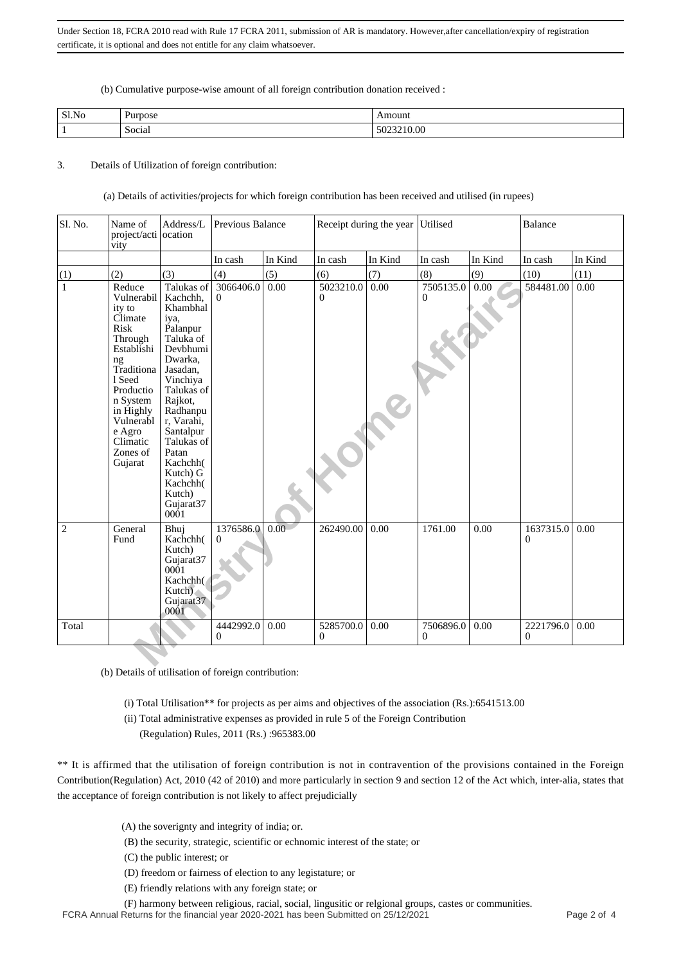(b) Cumulative purpose-wise amount of all foreign contribution donation received :

| Sl.No | Purpose             | moum                      |
|-------|---------------------|---------------------------|
|       | $\cdot$ .<br>Social | $\Omega$<br>$-5023210.00$ |

### 3. Details of Utilization of foreign contribution:

(a) Details of activities/projects for which foreign contribution has been received and utilised (in rupees)

| Sl. No.        | Name of<br>project/acti<br>vity                                                                                                                                                                                 | Address/L<br>ocation                                                                                                                                                                                                                                                         | Previous Balance            |         | Receipt during the year     |         | Utilised                  |         | <b>Balance</b> |         |
|----------------|-----------------------------------------------------------------------------------------------------------------------------------------------------------------------------------------------------------------|------------------------------------------------------------------------------------------------------------------------------------------------------------------------------------------------------------------------------------------------------------------------------|-----------------------------|---------|-----------------------------|---------|---------------------------|---------|----------------|---------|
|                |                                                                                                                                                                                                                 |                                                                                                                                                                                                                                                                              | In cash                     | In Kind | In cash                     | In Kind | In cash                   | In Kind | In cash        | In Kind |
| (1)            | (2)                                                                                                                                                                                                             | (3)                                                                                                                                                                                                                                                                          | (4)                         | (5)     | (6)                         | (7)     | (8)                       | (9)     | (10)           | (11)    |
| $\mathbf{1}$   | Reduce<br>Vulnerabil<br>ity to<br>Climate<br><b>Risk</b><br>Through<br>Establishi<br>ng<br>Traditiona<br>1 Seed<br>Productio<br>n System<br>in Highly<br>Vulnerabl<br>e Agro<br>Climatic<br>Zones of<br>Gujarat | Talukas of<br>Kachchh,<br>Khambhal<br>iya.<br>Palanpur<br>Taluka of<br>Devbhumi<br>Dwarka.<br>Jasadan,<br>Vinchiya<br>Talukas of<br>Rajkot,<br>Radhanpu<br>r, Varahi,<br>Santalpur<br>Talukas of<br>Patan<br>Kachchh(<br>Kutch) G<br>Kachchh(<br>Kutch)<br>Gujarat37<br>0001 | 3066406.0<br>$\mathbf{0}$   | 0.00    | 5023210.0<br>$\overline{0}$ | 0.00    | 7505135.0<br>$\mathbf{0}$ | 0.00    | 584481.00      | 0.00    |
| $\overline{2}$ | General<br>Fund                                                                                                                                                                                                 | Bhuj<br>Kachchh(<br>Kutch)<br>Gujarat37<br>0001<br>Kachchh(<br>Kutch)<br>Gujarat37<br>0001                                                                                                                                                                                   | 1376586.0<br>$\Omega$       | 0.00    | 262490.00                   | 0.00    | 1761.00                   | 0.00    | 1637315.0<br>0 | 0.00    |
| Total          |                                                                                                                                                                                                                 |                                                                                                                                                                                                                                                                              | 4442992.0<br>$\overline{0}$ | 0.00    | 5285700.0<br>$\overline{0}$ | 0.00    | 7506896.0<br>$\mathbf{0}$ | 0.00    | 2221796.0<br>0 | 0.00    |
|                |                                                                                                                                                                                                                 |                                                                                                                                                                                                                                                                              |                             |         |                             |         |                           |         |                |         |

(b) Details of utilisation of foreign contribution:

- (i) Total Utilisation\*\* for projects as per aims and objectives of the association (Rs.):6541513.00
- (ii) Total administrative expenses as provided in rule 5 of the Foreign Contribution
	- (Regulation) Rules, 2011 (Rs.) :965383.00

\*\* It is affirmed that the utilisation of foreign contribution is not in contravention of the provisions contained in the Foreign Contribution(Regulation) Act, 2010 (42 of 2010) and more particularly in section 9 and section 12 of the Act which, inter-alia, states that the acceptance of foreign contribution is not likely to affect prejudicially

- (A) the soverignty and integrity of india; or.
- (B) the security, strategic, scientific or echnomic interest of the state; or
- (C) the public interest; or
- (D) freedom or fairness of election to any legistature; or
- (E) friendly relations with any foreign state; or
- (F) harmony between religious, racial, social, lingusitic or relgional groups, castes or communities.

FCRA Annual Returns for the financial year 2020-2021 has been Submitted on 25/12/2021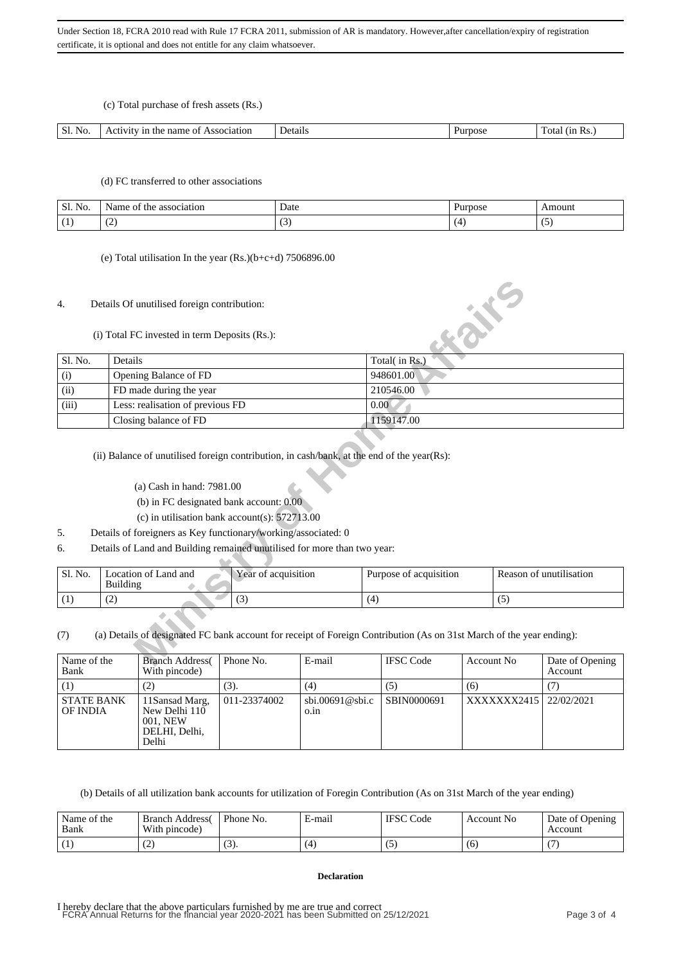(c) Total purchase of fresh assets (Rs.)

| $\sim$<br>NΘ<br>pciation<br>ntя<br>1 <sub>n</sub><br>N1<br>ו הו<br>татт<br>nar<br>ΩT<br>гпе<br>— ⊶<br>ш<br>ᆪ |  |  |  |
|--------------------------------------------------------------------------------------------------------------|--|--|--|
|                                                                                                              |  |  |  |

## (d) FC transferred to other associations

| <b>C1</b><br>NO.<br>DI. | association<br>.ne<br>ne | Date | ™0se | moun   |
|-------------------------|--------------------------|------|------|--------|
|                         | $\sim$<br>. <u>. .</u>   |      |      | $\sim$ |

(e) Total utilisation In the year (Rs.)(b+c+d) 7506896.00

## 4. Details Of unutilised foreign contribution:

| 4.                                          | Details Of unutilised foreign contribution:                                                                                                                                                                                                                           |                                                                                                                                               |           |                        |      |                  | 成长                      |     |                 |
|---------------------------------------------|-----------------------------------------------------------------------------------------------------------------------------------------------------------------------------------------------------------------------------------------------------------------------|-----------------------------------------------------------------------------------------------------------------------------------------------|-----------|------------------------|------|------------------|-------------------------|-----|-----------------|
|                                             |                                                                                                                                                                                                                                                                       | (i) Total FC invested in term Deposits (Rs.):                                                                                                 |           |                        |      |                  |                         |     |                 |
| Sl. No.                                     | Details                                                                                                                                                                                                                                                               |                                                                                                                                               |           |                        |      | Total(in Rs.)    |                         |     |                 |
| (i)                                         |                                                                                                                                                                                                                                                                       | Opening Balance of FD                                                                                                                         |           |                        |      | 948601.00        |                         |     |                 |
| FD made during the year<br>(ii)             |                                                                                                                                                                                                                                                                       |                                                                                                                                               |           |                        |      | 210546.00        |                         |     |                 |
| Less: realisation of previous FD<br>(iii)   |                                                                                                                                                                                                                                                                       |                                                                                                                                               |           |                        | 0.00 |                  |                         |     |                 |
|                                             | Closing balance of FD                                                                                                                                                                                                                                                 |                                                                                                                                               |           |                        |      | 1159147.00       |                         |     |                 |
| 5.<br>6.                                    | (a) Cash in hand: 7981.00<br>(b) in FC designated bank account: 0.00<br>(c) in utilisation bank account(s): $572713.00$<br>Details of foreigners as Key functionary/working/associated: 0<br>Details of Land and Building remained unutilised for more than two year: |                                                                                                                                               |           |                        |      |                  |                         |     |                 |
|                                             |                                                                                                                                                                                                                                                                       |                                                                                                                                               |           |                        |      |                  |                         |     |                 |
| Location of Land and<br>Sl. No.<br>Building |                                                                                                                                                                                                                                                                       | Year of acquisition                                                                                                                           |           | Purpose of acquisition |      |                  | Reason of unutilisation |     |                 |
| (1)                                         | (2)                                                                                                                                                                                                                                                                   |                                                                                                                                               | (3)       |                        | (4)  |                  |                         | (5) |                 |
| (7)<br>Name of the                          |                                                                                                                                                                                                                                                                       | (a) Details of designated FC bank account for receipt of Foreign Contribution (As on 31st March of the year ending):<br><b>Branch Address</b> | Phone No. | E-mail                 |      | <b>IFSC Code</b> | <b>Account No</b>       |     | Date of Opening |
|                                             |                                                                                                                                                                                                                                                                       |                                                                                                                                               |           |                        |      |                  |                         |     |                 |

# (a) Cash in hand: 7981.00

- (b) in FC designated bank account: 0.00
- (c) in utilisation bank account(s): 572713.00
- 5. Details of foreigners as Key functionary/working/associated: 0
- 6. Details of Land and Building remained unutilised for more than two year:

| ' Sl. No. | Location of Land and<br>Building | Year of acquisition | Purpose of acquisition | Reason of unutilisation |
|-----------|----------------------------------|---------------------|------------------------|-------------------------|
|           | $\sqrt{2}$<br>ے                  | $\sqrt{2}$<br>، ب   |                        | ື                       |

| Name of the<br>Bank           | <b>Branch Address</b><br>With pincode)                                 | Phone No.    | E-mail                                 | <b>IFSC</b> Code | Account No  | Date of Opening<br>Account |
|-------------------------------|------------------------------------------------------------------------|--------------|----------------------------------------|------------------|-------------|----------------------------|
|                               | 2)                                                                     | (3).         | (4)                                    | (5)              | (6)         |                            |
| <b>STATE BANK</b><br>OF INDIA | 11 Sansad Marg,<br>New Delhi 110<br>001. NEW<br>DELHI, Delhi,<br>Delhi | 011-23374002 | $\dot{\text{b}}$ i.00691@sbi.c<br>0.1n | SBIN0000691      | XXXXXXX2415 | 22/02/2021                 |

(b) Details of all utilization bank accounts for utilization of Foregin Contribution (As on 31st March of the year ending)

| Name of the<br>Bank | <b>Branch Address</b><br>With pincode) | Phone No.       | E-mail | <b>IFSC</b> Code | Account No. | Date of Opening<br>Account |
|---------------------|----------------------------------------|-----------------|--------|------------------|-------------|----------------------------|
|                     | ╰                                      | $\sqrt{2}$<br>. | (4)    |                  | (6)         |                            |

#### **Declaration**

I hereby declare that the above particulars furnished by me are true and correct FCRA Annual Returns for the financial year 2020-2021 has been Submitted on 25/12/2021 Page 3 of